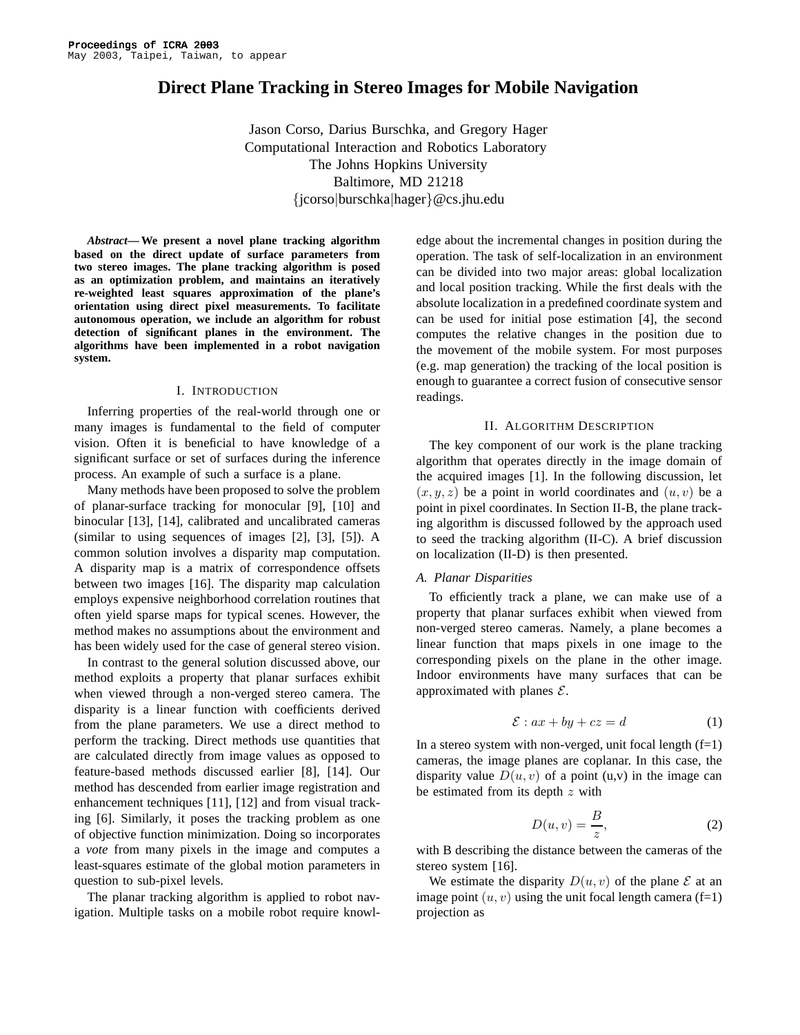# **Direct Plane Tracking in Stereo Images for Mobile Navigation**

Jason Corso, Darius Burschka, and Gregory Hager Computational Interaction and Robotics Laboratory The Johns Hopkins University Baltimore, MD 21218 {jcorso|burschka|hager}@cs.jhu.edu

*Abstract***— We present a novel plane tracking algorithm based on the direct update of surface parameters from two stereo images. The plane tracking algorithm is posed as an optimization problem, and maintains an iteratively re-weighted least squares approximation of the plane's orientation using direct pixel measurements. To facilitate autonomous operation, we include an algorithm for robust detection of significant planes in the environment. The algorithms have been implemented in a robot navigation system.**

#### I. INTRODUCTION

Inferring properties of the real-world through one or many images is fundamental to the field of computer vision. Often it is beneficial to have knowledge of a significant surface or set of surfaces during the inference process. An example of such a surface is a plane.

Many methods have been proposed to solve the problem of planar-surface tracking for monocular [9], [10] and binocular [13], [14], calibrated and uncalibrated cameras (similar to using sequences of images [2], [3], [5]). A common solution involves a disparity map computation. A disparity map is a matrix of correspondence offsets between two images [16]. The disparity map calculation employs expensive neighborhood correlation routines that often yield sparse maps for typical scenes. However, the method makes no assumptions about the environment and has been widely used for the case of general stereo vision.

In contrast to the general solution discussed above, our method exploits a property that planar surfaces exhibit when viewed through a non-verged stereo camera. The disparity is a linear function with coefficients derived from the plane parameters. We use a direct method to perform the tracking. Direct methods use quantities that are calculated directly from image values as opposed to feature-based methods discussed earlier [8], [14]. Our method has descended from earlier image registration and enhancement techniques [11], [12] and from visual tracking [6]. Similarly, it poses the tracking problem as one of objective function minimization. Doing so incorporates a *vote* from many pixels in the image and computes a least-squares estimate of the global motion parameters in question to sub-pixel levels.

The planar tracking algorithm is applied to robot navigation. Multiple tasks on a mobile robot require knowledge about the incremental changes in position during the operation. The task of self-localization in an environment can be divided into two major areas: global localization and local position tracking. While the first deals with the absolute localization in a predefined coordinate system and can be used for initial pose estimation [4], the second computes the relative changes in the position due to the movement of the mobile system. For most purposes (e.g. map generation) the tracking of the local position is enough to guarantee a correct fusion of consecutive sensor readings.

#### II. ALGORITHM DESCRIPTION

The key component of our work is the plane tracking algorithm that operates directly in the image domain of the acquired images [1]. In the following discussion, let  $(x, y, z)$  be a point in world coordinates and  $(u, v)$  be a point in pixel coordinates. In Section II-B, the plane tracking algorithm is discussed followed by the approach used to seed the tracking algorithm (II-C). A brief discussion on localization (II-D) is then presented.

## *A. Planar Disparities*

To efficiently track a plane, we can make use of a property that planar surfaces exhibit when viewed from non-verged stereo cameras. Namely, a plane becomes a linear function that maps pixels in one image to the corresponding pixels on the plane in the other image. Indoor environments have many surfaces that can be approximated with planes  $\mathcal{E}$ .

$$
\mathcal{E}: ax + by + cz = d \tag{1}
$$

In a stereo system with non-verged, unit focal length  $(f=1)$ cameras, the image planes are coplanar. In this case, the disparity value  $D(u, v)$  of a point (u,v) in the image can be estimated from its depth  $z$  with

$$
D(u, v) = \frac{B}{z},\tag{2}
$$

with B describing the distance between the cameras of the stereo system [16].

We estimate the disparity  $D(u, v)$  of the plane  $\mathcal E$  at an image point  $(u, v)$  using the unit focal length camera (f=1) projection as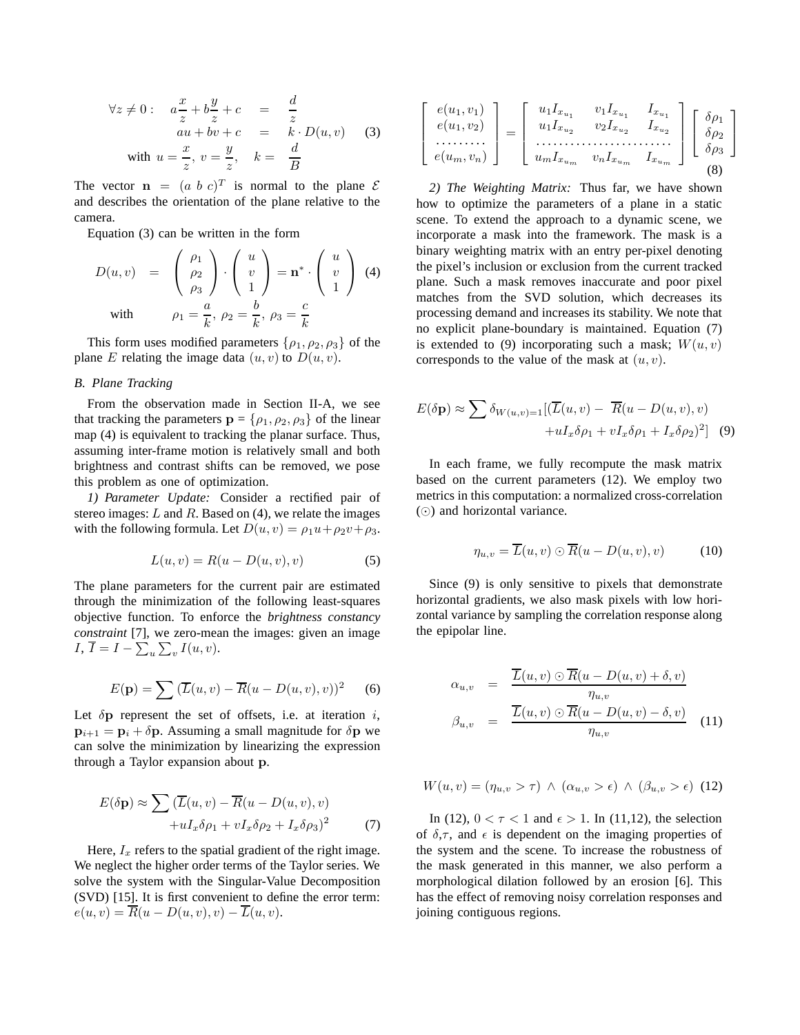$$
\forall z \neq 0: \quad a\frac{x}{z} + b\frac{y}{z} + c = \frac{d}{z}
$$
  
\n
$$
au + bv + c = k \cdot D(u, v)
$$
 (3)  
\nwith  $u = \frac{x}{z}, v = \frac{y}{z}, k = \frac{d}{B}$ 

The vector  $\mathbf{n} = (a \ b \ c)^T$  is normal to the plane  $\mathcal{E}$ and describes the orientation of the plane relative to the camera.

Equation (3) can be written in the form

$$
D(u, v) = \begin{pmatrix} \rho_1 \\ \rho_2 \\ \rho_3 \end{pmatrix} \cdot \begin{pmatrix} u \\ v \\ 1 \end{pmatrix} = \mathbf{n}^* \cdot \begin{pmatrix} u \\ v \\ 1 \end{pmatrix}
$$
 (4)  
with 
$$
\rho_1 = \frac{a}{k}, \ \rho_2 = \frac{b}{k}, \ \rho_3 = \frac{c}{k}
$$

This form uses modified parameters  $\{\rho_1, \rho_2, \rho_3\}$  of the plane E relating the image data  $(u, v)$  to  $D(u, v)$ .

#### *B. Plane Tracking*

From the observation made in Section II-A, we see that tracking the parameters  $\mathbf{p} = \{\rho_1, \rho_2, \rho_3\}$  of the linear map (4) is equivalent to tracking the planar surface. Thus, assuming inter-frame motion is relatively small and both brightness and contrast shifts can be removed, we pose this problem as one of optimization.

*1) Parameter Update:* Consider a rectified pair of stereo images:  $L$  and  $R$ . Based on (4), we relate the images with the following formula. Let  $D(u, v) = \rho_1 u + \rho_2 v + \rho_3$ .

$$
L(u, v) = R(u - D(u, v), v)
$$
\n<sup>(5)</sup>

The plane parameters for the current pair are estimated through the minimization of the following least-squares objective function. To enforce the *brightness constancy constraint* [7], we zero-mean the images: given an image I,  $I = I - \sum_u \sum_v I(u, v)$ .

$$
E(\mathbf{p}) = \sum (\overline{L}(u, v) - \overline{R}(u - D(u, v), v))^2
$$
 (6)

Let  $\delta$ p represent the set of offsets, i.e. at iteration i,  $p_{i+1} = p_i + \delta p$ . Assuming a small magnitude for  $\delta p$  we can solve the minimization by linearizing the expression through a Taylor expansion about p.

$$
E(\delta \mathbf{p}) \approx \sum (\overline{L}(u, v) - \overline{R}(u - D(u, v), v)
$$

$$
+ uI_x \delta \rho_1 + vI_x \delta \rho_2 + I_x \delta \rho_3)^2 \tag{7}
$$

Here,  $I_x$  refers to the spatial gradient of the right image. We neglect the higher order terms of the Taylor series. We solve the system with the Singular-Value Decomposition (SVD) [15]. It is first convenient to define the error term:  $e(u, v) = \overline{R}(u - D(u, v), v) - \overline{L}(u, v).$ 

$$
\begin{bmatrix}\ne(u_1, v_1) \\
e(u_1, v_2) \\
\vdots \\
e(u_m, v_n)\n\end{bmatrix} = \begin{bmatrix}\nu_1 I_{x_{u_1}} & v_1 I_{x_{u_1}} & I_{x_{u_1}} \\
u_1 I_{x_{u_2}} & v_2 I_{x_{u_2}} & I_{x_{u_2}} \\
\vdots & \vdots \\
u_m I_{x_{u_m}} & v_n I_{x_{u_m}} & I_{x_{u_m}}\n\end{bmatrix} \begin{bmatrix}\n\delta \rho_1 \\
\delta \rho_2 \\
\delta \rho_3\n\end{bmatrix}
$$
\n(8)

*2) The Weighting Matrix:* Thus far, we have shown how to optimize the parameters of a plane in a static scene. To extend the approach to a dynamic scene, we incorporate a mask into the framework. The mask is a binary weighting matrix with an entry per-pixel denoting the pixel's inclusion or exclusion from the current tracked plane. Such a mask removes inaccurate and poor pixel matches from the SVD solution, which decreases its processing demand and increases its stability. We note that no explicit plane-boundary is maintained. Equation (7) is extended to (9) incorporating such a mask;  $W(u, v)$ corresponds to the value of the mask at  $(u, v)$ .

$$
E(\delta \mathbf{p}) \approx \sum \delta_{W(u,v)=1} [(\overline{L}(u,v) - \overline{R}(u - D(u,v), v) + uI_x \delta \rho_1 + vI_x \delta \rho_1 + I_x \delta \rho_2)^2]
$$
(9)

In each frame, we fully recompute the mask matrix based on the current parameters (12). We employ two metrics in this computation: a normalized cross-correlation () and horizontal variance.

$$
\eta_{u,v} = \overline{L}(u,v) \odot \overline{R}(u - D(u,v),v) \tag{10}
$$

Since (9) is only sensitive to pixels that demonstrate horizontal gradients, we also mask pixels with low horizontal variance by sampling the correlation response along the epipolar line.

$$
\alpha_{u,v} = \frac{\overline{L}(u,v) \odot \overline{R}(u - D(u,v) + \delta, v)}{\eta_{u,v}} \n\beta_{u,v} = \frac{\overline{L}(u,v) \odot \overline{R}(u - D(u,v) - \delta, v)}{\eta_{u,v}} \quad (11)
$$

$$
W(u,v) = (\eta_{u,v} > \tau) \land (\alpha_{u,v} > \epsilon) \land (\beta_{u,v} > \epsilon) \tag{12}
$$

In (12),  $0 < \tau < 1$  and  $\epsilon > 1$ . In (11,12), the selection of  $\delta, \tau$ , and  $\epsilon$  is dependent on the imaging properties of the system and the scene. To increase the robustness of the mask generated in this manner, we also perform a morphological dilation followed by an erosion [6]. This has the effect of removing noisy correlation responses and joining contiguous regions.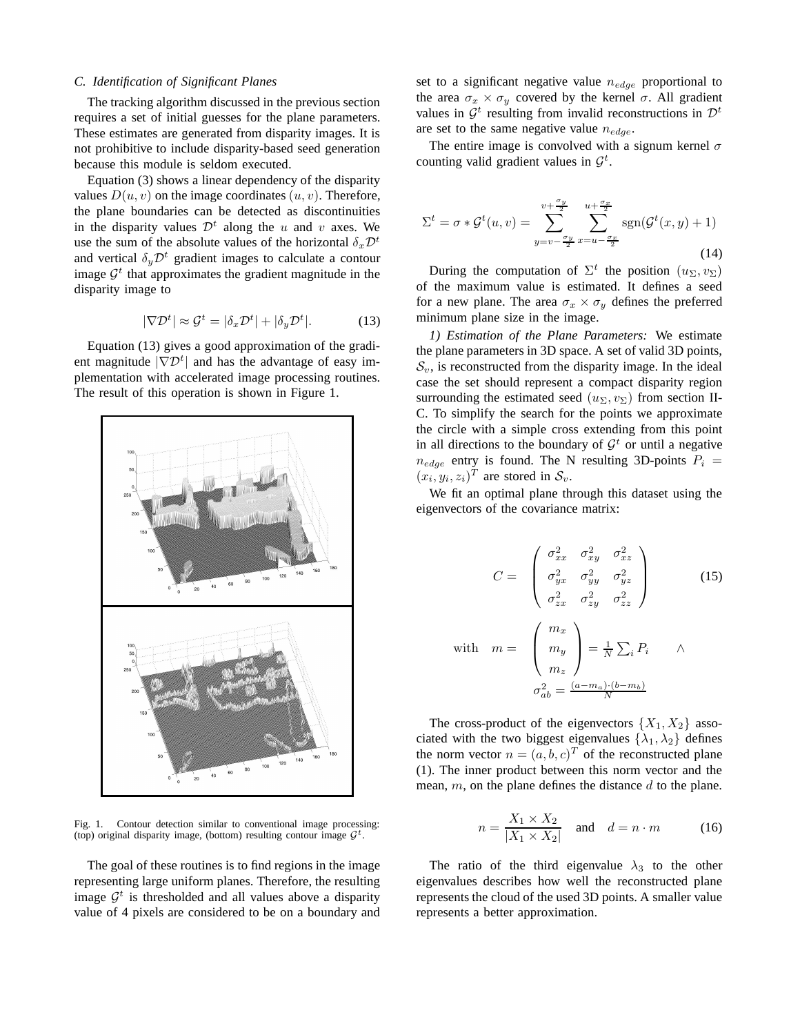#### *C. Identification of Significant Planes*

The tracking algorithm discussed in the previous section requires a set of initial guesses for the plane parameters. These estimates are generated from disparity images. It is not prohibitive to include disparity-based seed generation because this module is seldom executed.

Equation (3) shows a linear dependency of the disparity values  $D(u, v)$  on the image coordinates  $(u, v)$ . Therefore, the plane boundaries can be detected as discontinuities in the disparity values  $\mathcal{D}^t$  along the u and v axes. We use the sum of the absolute values of the horizontal  $\delta_x \mathcal{D}^t$ and vertical  $\delta_u \mathcal{D}^t$  gradient images to calculate a contour image  $\mathcal{G}^t$  that approximates the gradient magnitude in the disparity image to

$$
|\nabla \mathcal{D}^t| \approx \mathcal{G}^t = |\delta_x \mathcal{D}^t| + |\delta_y \mathcal{D}^t|. \tag{13}
$$

Equation (13) gives a good approximation of the gradient magnitude  $|\nabla \mathcal{D}^t|$  and has the advantage of easy implementation with accelerated image processing routines. The result of this operation is shown in Figure 1.



Fig. 1. Contour detection similar to conventional image processing: (top) original disparity image, (bottom) resulting contour image  $\mathcal{G}^t$ .

The goal of these routines is to find regions in the image representing large uniform planes. Therefore, the resulting image  $\mathcal{G}^t$  is thresholded and all values above a disparity value of 4 pixels are considered to be on a boundary and set to a significant negative value  $n_{edge}$  proportional to the area  $\sigma_x \times \sigma_y$  covered by the kernel  $\sigma$ . All gradient values in  $\mathcal{G}^t$  resulting from invalid reconstructions in  $\mathcal{D}^t$ are set to the same negative value  $n_{edge}$ .

The entire image is convolved with a signum kernel  $\sigma$ counting valid gradient values in  $\mathcal{G}^t$ .

$$
\Sigma^{t} = \sigma * \mathcal{G}^{t}(u, v) = \sum_{y=v-\frac{\sigma_{y}}{2}}^{v+\frac{\sigma_{y}}{2}} \sum_{x=u-\frac{\sigma_{x}}{2}}^{u+\frac{\sigma_{x}}{2}} \text{sgn}(\mathcal{G}^{t}(x, y) + 1)
$$
\n(14)

During the computation of  $\Sigma^t$  the position  $(u_\Sigma, v_\Sigma)$ of the maximum value is estimated. It defines a seed for a new plane. The area  $\sigma_x \times \sigma_y$  defines the preferred minimum plane size in the image.

*1) Estimation of the Plane Parameters:* We estimate the plane parameters in 3D space. A set of valid 3D points,  $\mathcal{S}_v$ , is reconstructed from the disparity image. In the ideal case the set should represent a compact disparity region surrounding the estimated seed  $(u_{\Sigma}, v_{\Sigma})$  from section II-C. To simplify the search for the points we approximate the circle with a simple cross extending from this point in all directions to the boundary of  $\mathcal{G}^t$  or until a negative  $n_{edge}$  entry is found. The N resulting 3D-points  $P_i =$  $(x_i, y_i, z_i)^T$  are stored in  $S_v$ .

We fit an optimal plane through this dataset using the eigenvectors of the covariance matrix:

$$
C = \begin{pmatrix} \sigma_{xx}^2 & \sigma_{xy}^2 & \sigma_{xz}^2 \\ \sigma_{yx}^2 & \sigma_{yy}^2 & \sigma_{yz}^2 \\ \sigma_{zx}^2 & \sigma_{zy}^2 & \sigma_{zz}^2 \end{pmatrix}
$$
 (15)  
with 
$$
m = \begin{pmatrix} m_x \\ m_y \\ m_z \end{pmatrix} = \frac{1}{N} \sum_i P_i \qquad \wedge
$$

$$
\sigma_{ab}^2 = \frac{(a - m_a) \cdot (b - m_b)}{N}
$$

The cross-product of the eigenvectors  $\{X_1, X_2\}$  associated with the two biggest eigenvalues  $\{\lambda_1, \lambda_2\}$  defines the norm vector  $n = (a, b, c)^T$  of the reconstructed plane (1). The inner product between this norm vector and the mean,  $m$ , on the plane defines the distance  $d$  to the plane.

$$
n = \frac{X_1 \times X_2}{|X_1 \times X_2|} \quad \text{and} \quad d = n \cdot m \tag{16}
$$

The ratio of the third eigenvalue  $\lambda_3$  to the other eigenvalues describes how well the reconstructed plane represents the cloud of the used 3D points. A smaller value represents a better approximation.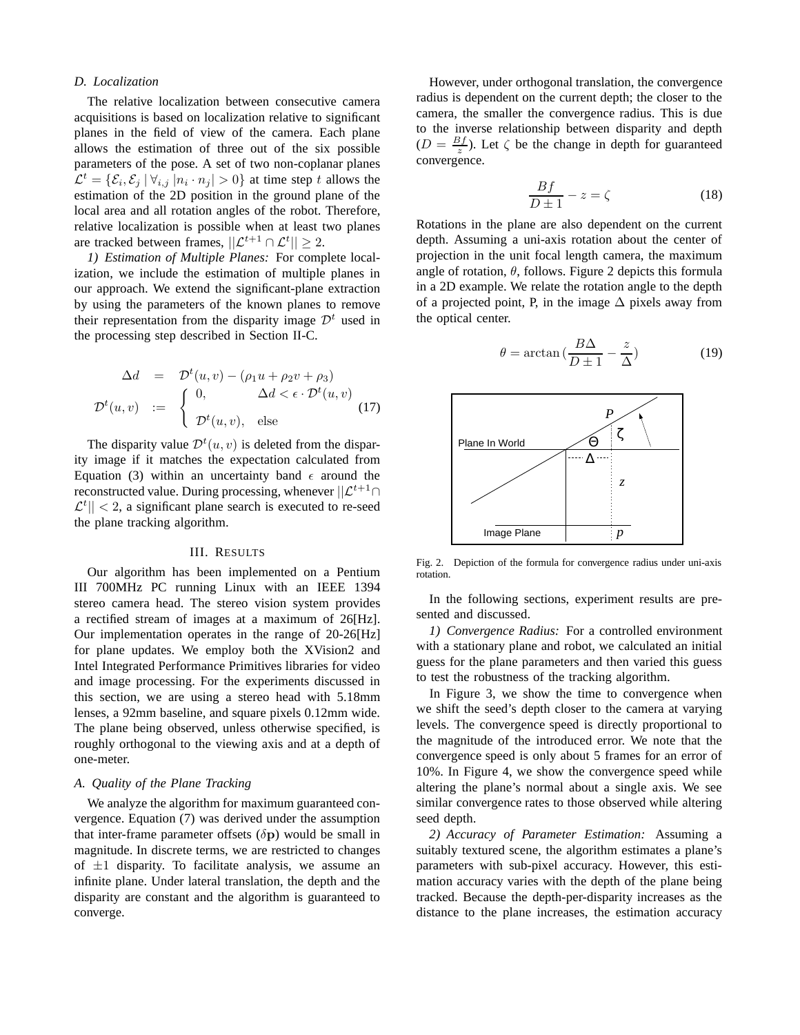#### *D. Localization*

The relative localization between consecutive camera acquisitions is based on localization relative to significant planes in the field of view of the camera. Each plane allows the estimation of three out of the six possible parameters of the pose. A set of two non-coplanar planes  $\mathcal{L}^t = \{\mathcal{E}_i, \mathcal{E}_j \, | \, \forall_{i,j} |n_i \cdot n_j| > 0\}$  at time step t allows the estimation of the 2D position in the ground plane of the local area and all rotation angles of the robot. Therefore, relative localization is possible when at least two planes are tracked between frames,  $||\mathcal{L}^{t+1} \cap \mathcal{L}^{t}|| \geq 2$ .

*1) Estimation of Multiple Planes:* For complete localization, we include the estimation of multiple planes in our approach. We extend the significant-plane extraction by using the parameters of the known planes to remove their representation from the disparity image  $\mathcal{D}^t$  used in the processing step described in Section II-C.

$$
\Delta d = \mathcal{D}^t(u, v) - (\rho_1 u + \rho_2 v + \rho_3)
$$

$$
\mathcal{D}^t(u, v) := \begin{cases} 0, & \Delta d < \epsilon \cdot \mathcal{D}^t(u, v) \\ \mathcal{D}^t(u, v), & \text{else} \end{cases}
$$
(17)

The disparity value  $\mathcal{D}^{t}(u, v)$  is deleted from the disparity image if it matches the expectation calculated from Equation (3) within an uncertainty band  $\epsilon$  around the reconstructed value. During processing, whenever  $||\mathcal{L}^{t+1} \cap$  $\mathcal{L}^t$ || < 2, a significant plane search is executed to re-seed the plane tracking algorithm.

## III. RESULTS

Our algorithm has been implemented on a Pentium III 700MHz PC running Linux with an IEEE 1394 stereo camera head. The stereo vision system provides a rectified stream of images at a maximum of 26[Hz]. Our implementation operates in the range of 20-26[Hz] for plane updates. We employ both the XVision2 and Intel Integrated Performance Primitives libraries for video and image processing. For the experiments discussed in this section, we are using a stereo head with 5.18mm lenses, a 92mm baseline, and square pixels 0.12mm wide. The plane being observed, unless otherwise specified, is roughly orthogonal to the viewing axis and at a depth of one-meter.

## *A. Quality of the Plane Tracking*

We analyze the algorithm for maximum guaranteed convergence. Equation (7) was derived under the assumption that inter-frame parameter offsets  $(\delta p)$  would be small in magnitude. In discrete terms, we are restricted to changes of  $\pm 1$  disparity. To facilitate analysis, we assume an infinite plane. Under lateral translation, the depth and the disparity are constant and the algorithm is guaranteed to converge.

However, under orthogonal translation, the convergence radius is dependent on the current depth; the closer to the camera, the smaller the convergence radius. This is due to the inverse relationship between disparity and depth  $(D = \frac{Bf}{z})$ . Let  $\zeta$  be the change in depth for guaranteed convergence.

$$
\frac{Bf}{D\pm 1} - z = \zeta \tag{18}
$$

Rotations in the plane are also dependent on the current depth. Assuming a uni-axis rotation about the center of projection in the unit focal length camera, the maximum angle of rotation,  $\theta$ , follows. Figure 2 depicts this formula in a 2D example. We relate the rotation angle to the depth of a projected point, P, in the image  $\Delta$  pixels away from the optical center.

$$
\theta = \arctan\left(\frac{B\Delta}{D\pm 1} - \frac{z}{\Delta}\right) \tag{19}
$$



Fig. 2. Depiction of the formula for convergence radius under uni-axis rotation.

In the following sections, experiment results are presented and discussed.

*1) Convergence Radius:* For a controlled environment with a stationary plane and robot, we calculated an initial guess for the plane parameters and then varied this guess to test the robustness of the tracking algorithm.

In Figure 3, we show the time to convergence when we shift the seed's depth closer to the camera at varying levels. The convergence speed is directly proportional to the magnitude of the introduced error. We note that the convergence speed is only about 5 frames for an error of 10%. In Figure 4, we show the convergence speed while altering the plane's normal about a single axis. We see similar convergence rates to those observed while altering seed depth.

*2) Accuracy of Parameter Estimation:* Assuming a suitably textured scene, the algorithm estimates a plane's parameters with sub-pixel accuracy. However, this estimation accuracy varies with the depth of the plane being tracked. Because the depth-per-disparity increases as the distance to the plane increases, the estimation accuracy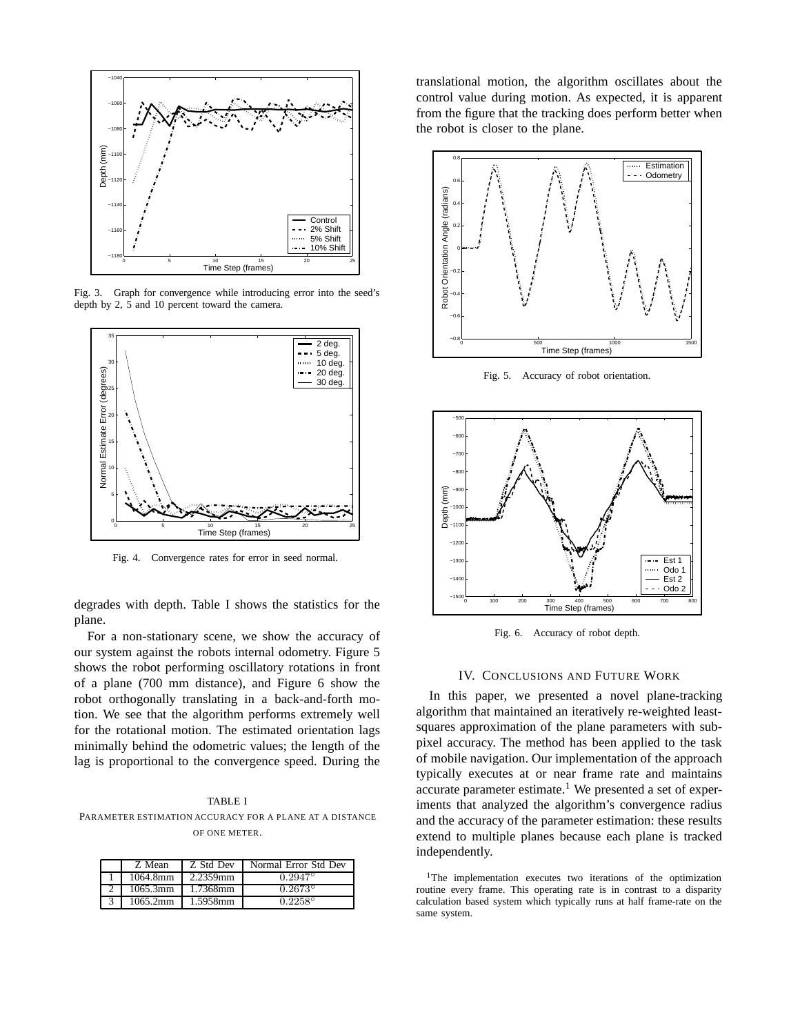

Fig. 3. Graph for convergence while introducing error into the seed's depth by 2, 5 and 10 percent toward the camera.



Fig. 4. Convergence rates for error in seed normal.

degrades with depth. Table I shows the statistics for the plane.

For a non-stationary scene, we show the accuracy of our system against the robots internal odometry. Figure 5 shows the robot performing oscillatory rotations in front of a plane (700 mm distance), and Figure 6 show the robot orthogonally translating in a back-and-forth motion. We see that the algorithm performs extremely well for the rotational motion. The estimated orientation lags minimally behind the odometric values; the length of the lag is proportional to the convergence speed. During the

TABLE I PARAMETER ESTIMATION ACCURACY FOR A PLANE AT A DISTANCE OF ONE METER.

| Z Mean   | Z Std Dev | Normal Error Std Dev |
|----------|-----------|----------------------|
| 1064.8mm | 2.2359mm  | $0.2947^{\circ}$     |
| 1065.3mm | 1.7368mm  | $0.2673^{\circ}$     |
| 1065.2mm | 1.5958mm  | $0.2258^{\circ}$     |

translational motion, the algorithm oscillates about the control value during motion. As expected, it is apparent from the figure that the tracking does perform better when the robot is closer to the plane.



Fig. 5. Accuracy of robot orientation.



Fig. 6. Accuracy of robot depth.

## IV. CONCLUSIONS AND FUTURE WORK

In this paper, we presented a novel plane-tracking algorithm that maintained an iteratively re-weighted leastsquares approximation of the plane parameters with subpixel accuracy. The method has been applied to the task of mobile navigation. Our implementation of the approach typically executes at or near frame rate and maintains accurate parameter estimate.<sup>1</sup> We presented a set of experiments that analyzed the algorithm's convergence radius and the accuracy of the parameter estimation: these results extend to multiple planes because each plane is tracked independently.

<sup>&</sup>lt;sup>1</sup>The implementation executes two iterations of the optimization routine every frame. This operating rate is in contrast to a disparity calculation based system which typically runs at half frame-rate on the same system.